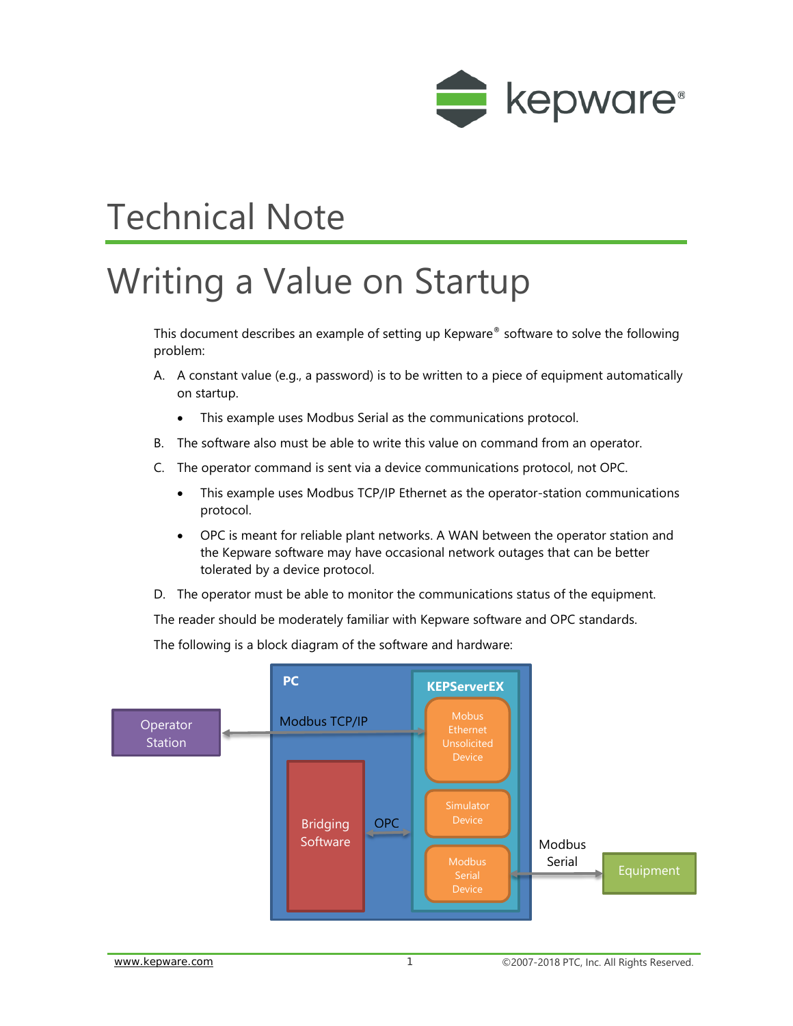

# Technical Note

# Writing a Value on Startup

This document describes an example of setting up Kepware® software to solve the following problem:

- A. A constant value (e.g., a password) is to be written to a piece of equipment automatically on startup.
	- This example uses Modbus Serial as the communications protocol.
- B. The software also must be able to write this value on command from an operator.
- C. The operator command is sent via a device communications protocol, not OPC.
	- This example uses Modbus TCP/IP Ethernet as the operator-station communications protocol.
	- OPC is meant for reliable plant networks. A WAN between the operator station and the Kepware software may have occasional network outages that can be better tolerated by a device protocol.
- D. The operator must be able to monitor the communications status of the equipment.

The reader should be moderately familiar with Kepware software and OPC standards.

The following is a block diagram of the software and hardware:

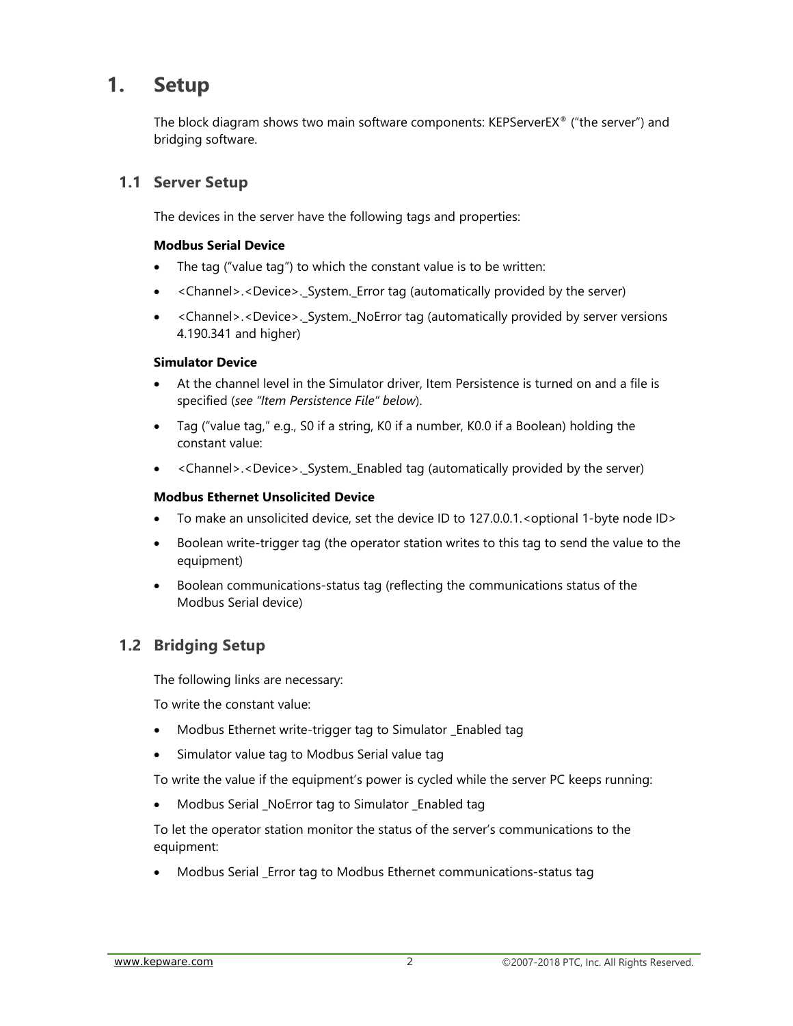## **1. Setup**

The block diagram shows two main software components: KEPServerEX® ("the server") and bridging software.

#### **1.1 Server Setup**

The devices in the server have the following tags and properties:

#### **Modbus Serial Device**

- The tag ("value tag") to which the constant value is to be written:
- <Channel>.<Device>.\_System.\_Error tag (automatically provided by the server)
- <Channel>.<Device>.\_System.\_NoError tag (automatically provided by server versions 4.190.341 and higher)

#### **Simulator Device**

- At the channel level in the Simulator driver, Item Persistence is turned on and a file is specified (*see "Item Persistence File" below*).
- Tag ("value tag," e.g., S0 if a string, K0 if a number, K0.0 if a Boolean) holding the constant value:
- <Channel>.<Device>.\_System.\_Enabled tag (automatically provided by the server)

#### **Modbus Ethernet Unsolicited Device**

- To make an unsolicited device, set the device ID to 127.0.0.1. < optional 1-byte node ID >
- Boolean write-trigger tag (the operator station writes to this tag to send the value to the equipment)
- Boolean communications-status tag (reflecting the communications status of the Modbus Serial device)

#### **1.2 Bridging Setup**

The following links are necessary:

To write the constant value:

- Modbus Ethernet write-trigger tag to Simulator \_Enabled tag
- Simulator value tag to Modbus Serial value tag

To write the value if the equipment's power is cycled while the server PC keeps running:

• Modbus Serial \_NoError tag to Simulator \_Enabled tag

To let the operator station monitor the status of the server's communications to the equipment:

• Modbus Serial \_Error tag to Modbus Ethernet communications-status tag